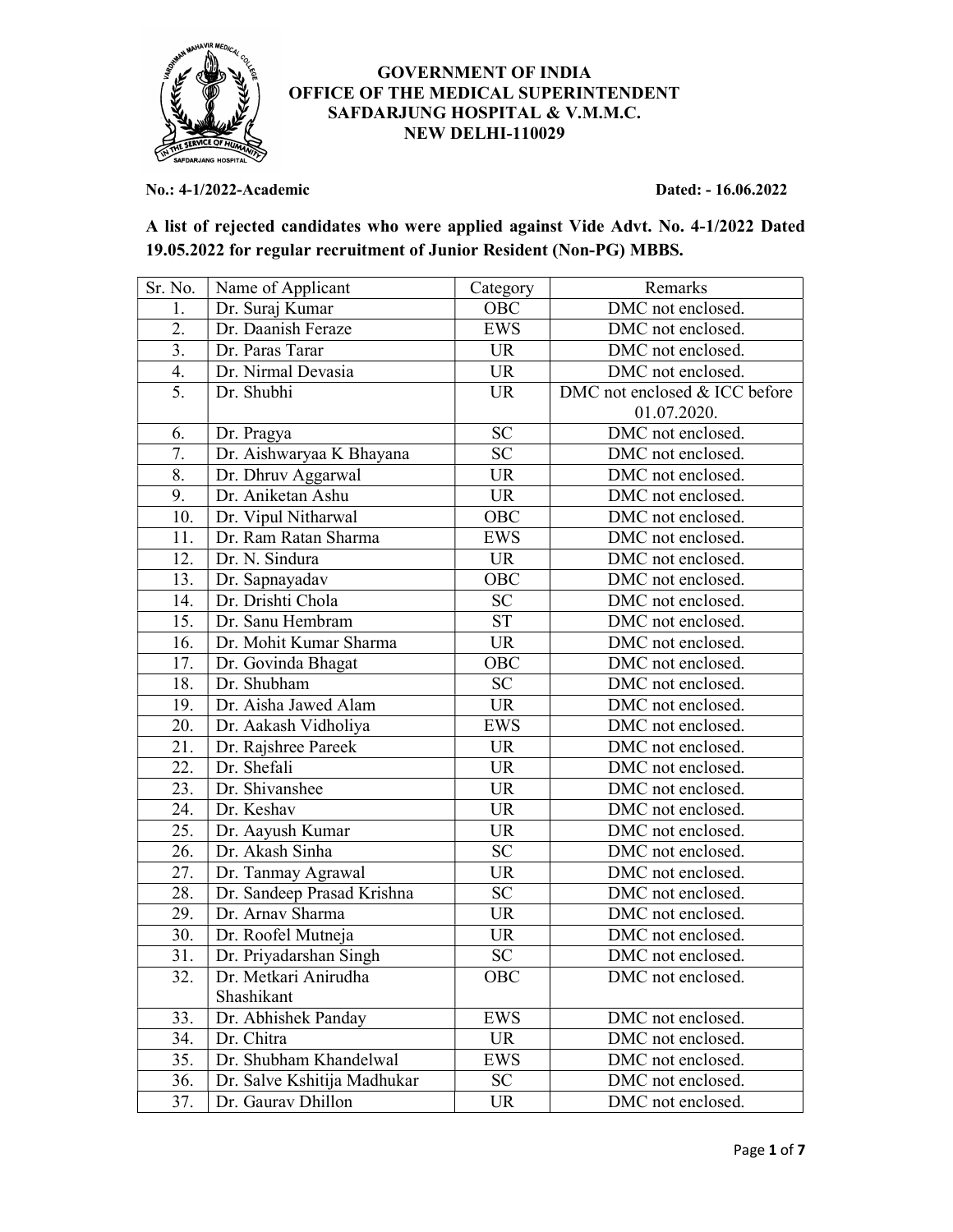

## GOVERNMENT OF INDIA OFFICE OF THE MEDICAL SUPERINTENDENT SAFDARJUNG HOSPITAL & V.M.M.C. NEW DELHI-110029

No.: 4-1/2022-Academic Dated: - 16.06.2022

| A list of rejected candidates who were applied against Vide Advt. No. 4-1/2022 Dated |
|--------------------------------------------------------------------------------------|
| 19.05.2022 for regular recruitment of Junior Resident (Non-PG) MBBS.                 |

| Sr. No. | Name of Applicant           | Category   | Remarks                       |
|---------|-----------------------------|------------|-------------------------------|
| 1.      | Dr. Suraj Kumar             | OBC        | DMC not enclosed.             |
| 2.      | Dr. Daanish Feraze          | EWS        | DMC not enclosed.             |
| 3.      | Dr. Paras Tarar             | <b>UR</b>  | DMC not enclosed.             |
| 4.      | Dr. Nirmal Devasia          | <b>UR</b>  | DMC not enclosed.             |
| 5.      | Dr. Shubhi                  | <b>UR</b>  | DMC not enclosed & ICC before |
|         |                             |            | 01.07.2020.                   |
| 6.      | Dr. Pragya                  | <b>SC</b>  | DMC not enclosed.             |
| 7.      | Dr. Aishwaryaa K Bhayana    | <b>SC</b>  | DMC not enclosed.             |
| 8.      | Dr. Dhruv Aggarwal          | <b>UR</b>  | DMC not enclosed.             |
| 9.      | Dr. Aniketan Ashu           | <b>UR</b>  | DMC not enclosed.             |
| 10.     | Dr. Vipul Nitharwal         | OBC        | DMC not enclosed.             |
| 11.     | Dr. Ram Ratan Sharma        | <b>EWS</b> | DMC not enclosed.             |
| 12.     | Dr. N. Sindura              | <b>UR</b>  | DMC not enclosed.             |
| 13.     | Dr. Sapnayadav              | OBC        | DMC not enclosed.             |
| 14.     | Dr. Drishti Chola           | SC         | DMC not enclosed.             |
| 15.     | Dr. Sanu Hembram            | <b>ST</b>  | DMC not enclosed.             |
| 16.     | Dr. Mohit Kumar Sharma      | <b>UR</b>  | DMC not enclosed.             |
| 17.     | Dr. Govinda Bhagat          | OBC        | DMC not enclosed.             |
| 18.     | Dr. Shubham                 | SC         | DMC not enclosed.             |
| 19.     | Dr. Aisha Jawed Alam        | <b>UR</b>  | DMC not enclosed.             |
| 20.     | Dr. Aakash Vidholiya        | EWS        | DMC not enclosed.             |
| 21.     | Dr. Rajshree Pareek         | <b>UR</b>  | DMC not enclosed.             |
| 22.     | Dr. Shefali                 | <b>UR</b>  | DMC not enclosed.             |
| 23.     | Dr. Shivanshee              | <b>UR</b>  | DMC not enclosed.             |
| 24.     | Dr. Keshav                  | <b>UR</b>  | DMC not enclosed.             |
| 25.     | Dr. Aayush Kumar            | <b>UR</b>  | DMC not enclosed.             |
| 26.     | Dr. Akash Sinha             | SC         | DMC not enclosed.             |
| 27.     | Dr. Tanmay Agrawal          | <b>UR</b>  | DMC not enclosed.             |
| 28.     | Dr. Sandeep Prasad Krishna  | SC         | DMC not enclosed.             |
| 29.     | Dr. Arnav Sharma            | <b>UR</b>  | DMC not enclosed.             |
| 30.     | Dr. Roofel Mutneja          | <b>UR</b>  | DMC not enclosed.             |
| 31.     | Dr. Priyadarshan Singh      | <b>SC</b>  | DMC not enclosed.             |
| 32.     | Dr. Metkari Anirudha        | OBC        | DMC not enclosed.             |
|         | Shashikant                  |            |                               |
| 33.     | Dr. Abhishek Panday         | EWS        | DMC not enclosed.             |
| 34.     | Dr. Chitra                  | <b>UR</b>  | DMC not enclosed.             |
| 35.     | Dr. Shubham Khandelwal      | <b>EWS</b> | DMC not enclosed.             |
| 36.     | Dr. Salve Kshitija Madhukar | <b>SC</b>  | DMC not enclosed.             |
| 37.     | Dr. Gaurav Dhillon          | <b>UR</b>  | DMC not enclosed.             |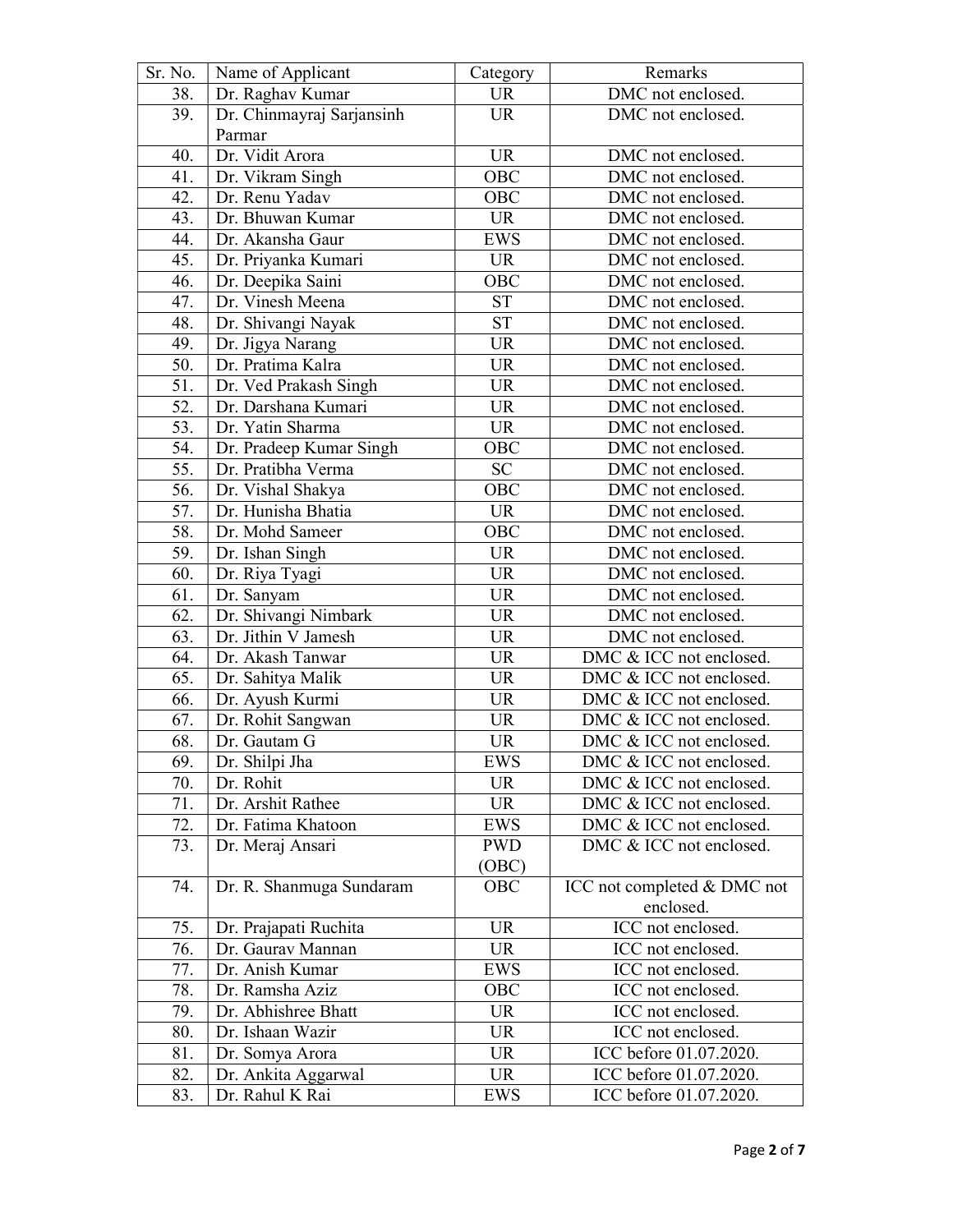| Sr. No. | Name of Applicant         | Category          | Remarks                     |
|---------|---------------------------|-------------------|-----------------------------|
| 38.     | Dr. Raghav Kumar          | <b>UR</b>         | DMC not enclosed.           |
| 39.     | Dr. Chinmayraj Sarjansinh | <b>UR</b>         | DMC not enclosed.           |
|         | Parmar                    |                   |                             |
| 40.     | Dr. Vidit Arora           | <b>UR</b>         | DMC not enclosed.           |
| 41.     | Dr. Vikram Singh          | OBC               | DMC not enclosed.           |
| 42.     | Dr. Renu Yadav            | OBC               | DMC not enclosed.           |
| 43.     | Dr. Bhuwan Kumar          | <b>UR</b>         | DMC not enclosed.           |
| 44.     | Dr. Akansha Gaur          | <b>EWS</b>        | DMC not enclosed.           |
| 45.     | Dr. Priyanka Kumari       | <b>UR</b>         | DMC not enclosed.           |
| 46.     | Dr. Deepika Saini         | OBC               | DMC not enclosed.           |
| 47.     | Dr. Vinesh Meena          | <b>ST</b>         | DMC not enclosed.           |
| 48.     | Dr. Shivangi Nayak        | <b>ST</b>         | DMC not enclosed.           |
| 49.     | Dr. Jigya Narang          | <b>UR</b>         | DMC not enclosed.           |
| 50.     | Dr. Pratima Kalra         | <b>UR</b>         | DMC not enclosed.           |
| 51.     | Dr. Ved Prakash Singh     | UR                | DMC not enclosed.           |
| 52.     | Dr. Darshana Kumari       | <b>UR</b>         | DMC not enclosed.           |
| 53.     | Dr. Yatin Sharma          | <b>UR</b>         | DMC not enclosed.           |
| 54.     | Dr. Pradeep Kumar Singh   | OBC               | DMC not enclosed.           |
| 55.     | Dr. Pratibha Verma        | SC                | DMC not enclosed.           |
| 56.     | Dr. Vishal Shakya         | $\overline{O}$ BC | DMC not enclosed.           |
| 57.     | Dr. Hunisha Bhatia        | UR                | DMC not enclosed.           |
| 58.     | Dr. Mohd Sameer           | OBC               | DMC not enclosed.           |
| 59.     | Dr. Ishan Singh           | <b>UR</b>         | DMC not enclosed.           |
| 60.     | Dr. Riya Tyagi            | <b>UR</b>         | DMC not enclosed.           |
| 61.     | Dr. Sanyam                | <b>UR</b>         | DMC not enclosed.           |
| 62.     | Dr. Shivangi Nimbark      | <b>UR</b>         | DMC not enclosed.           |
| 63.     | Dr. Jithin V Jamesh       | <b>UR</b>         | DMC not enclosed.           |
| 64.     | Dr. Akash Tanwar          | <b>UR</b>         | DMC & ICC not enclosed.     |
| 65.     | Dr. Sahitya Malik         | <b>UR</b>         | DMC & ICC not enclosed.     |
| 66.     | Dr. Ayush Kurmi           | <b>UR</b>         | DMC & ICC not enclosed.     |
| 67.     | Dr. Rohit Sangwan         | <b>UR</b>         | DMC & ICC not enclosed.     |
| 68.     | Dr. Gautam G              | <b>UR</b>         | DMC & ICC not enclosed.     |
| 69.     | Dr. Shilpi Jha            | <b>EWS</b>        | DMC & ICC not enclosed.     |
| 70.     | Dr. Rohit                 | <b>UR</b>         | DMC & ICC not enclosed.     |
| 71.     | Dr. Arshit Rathee         | UR                | DMC & ICC not enclosed.     |
| 72.     | Dr. Fatima Khatoon        | EWS               | DMC & ICC not enclosed.     |
| 73.     | Dr. Meraj Ansari          | <b>PWD</b>        | DMC & ICC not enclosed.     |
|         |                           | (OBC)             |                             |
| 74.     | Dr. R. Shanmuga Sundaram  | OBC               | ICC not completed & DMC not |
|         |                           |                   | enclosed.                   |
| 75.     | Dr. Prajapati Ruchita     | <b>UR</b>         | ICC not enclosed.           |
| 76.     | Dr. Gaurav Mannan         | UR                | ICC not enclosed.           |
| 77.     | Dr. Anish Kumar           | EWS               | ICC not enclosed.           |
| 78.     | Dr. Ramsha Aziz           | OBC               | ICC not enclosed.           |
| 79.     | Dr. Abhishree Bhatt       | <b>UR</b>         | ICC not enclosed.           |
| 80.     | Dr. Ishaan Wazir          | <b>UR</b>         | ICC not enclosed.           |
| 81.     | Dr. Somya Arora           | UR                | ICC before 01.07.2020.      |
| 82.     | Dr. Ankita Aggarwal       | UR                | ICC before 01.07.2020.      |
| 83.     | Dr. Rahul K Rai           | EWS               | ICC before 01.07.2020.      |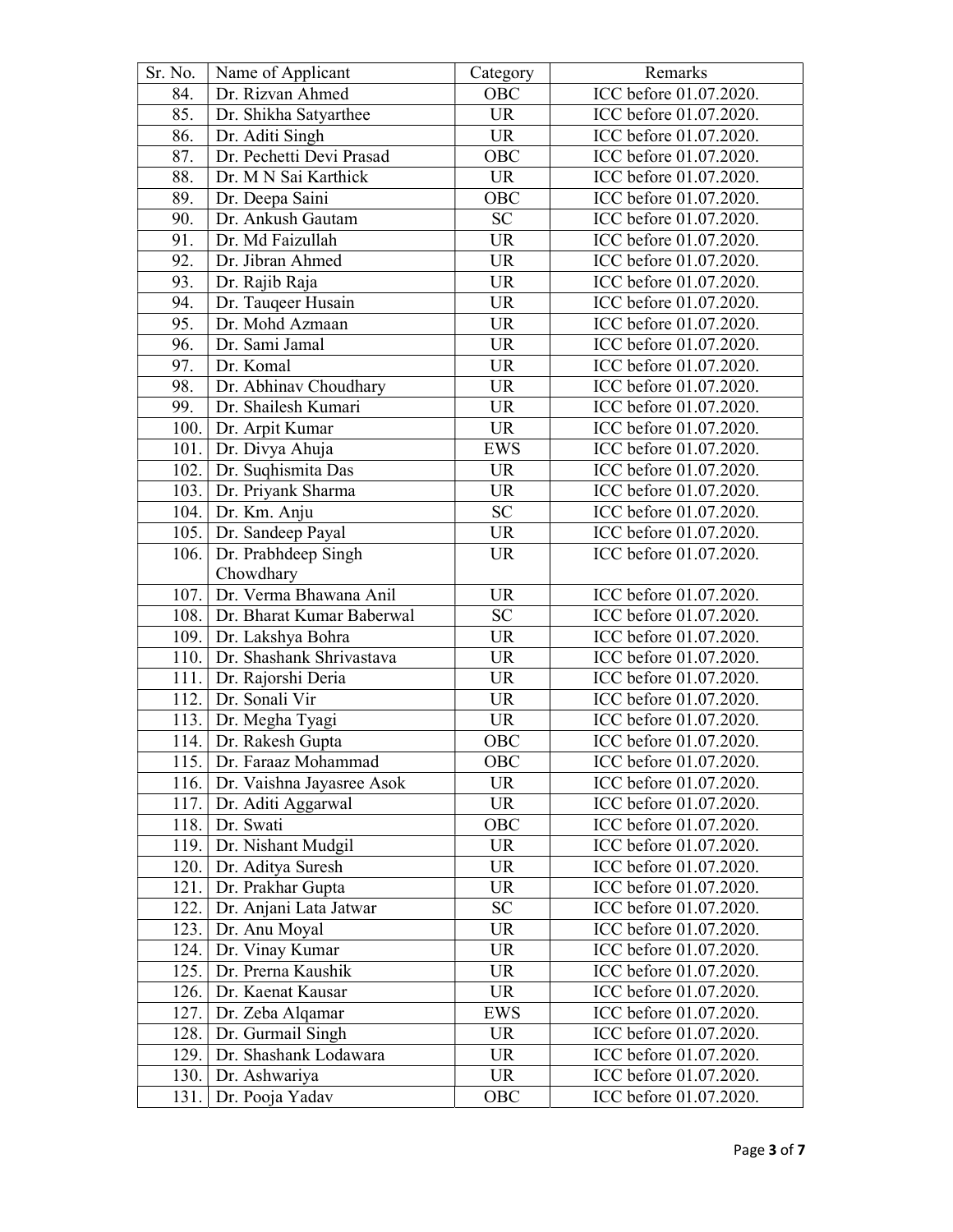| Sr. No. | Name of Applicant              | Category   | Remarks                |
|---------|--------------------------------|------------|------------------------|
| 84.     | Dr. Rizvan Ahmed               | OBC        | ICC before 01.07.2020. |
| 85.     | Dr. Shikha Satyarthee          | <b>UR</b>  | ICC before 01.07.2020. |
| 86.     | Dr. Aditi Singh                | <b>UR</b>  | ICC before 01.07.2020. |
| 87.     | Dr. Pechetti Devi Prasad       | OBC        | ICC before 01.07.2020. |
| 88.     | Dr. M N Sai Karthick           | <b>UR</b>  | ICC before 01.07.2020. |
| 89.     | Dr. Deepa Saini                | OBC        | ICC before 01.07.2020. |
| 90.     | Dr. Ankush Gautam              | <b>SC</b>  | ICC before 01.07.2020. |
| 91.     | Dr. Md Faizullah               | <b>UR</b>  | ICC before 01.07.2020. |
| 92.     | Dr. Jibran Ahmed               | <b>UR</b>  | ICC before 01.07.2020. |
| 93.     | Dr. Rajib Raja                 | <b>UR</b>  | ICC before 01.07.2020. |
| 94.     | Dr. Tauqeer Husain             | <b>UR</b>  | ICC before 01.07.2020. |
| 95.     | Dr. Mohd Azmaan                | <b>UR</b>  | ICC before 01.07.2020. |
| 96.     | Dr. Sami Jamal                 | <b>UR</b>  | ICC before 01.07.2020. |
| 97.     | Dr. Komal                      | <b>UR</b>  | ICC before 01.07.2020. |
| 98.     | Dr. Abhinav Choudhary          | <b>UR</b>  | ICC before 01.07.2020. |
| 99.     | Dr. Shailesh Kumari            | <b>UR</b>  | ICC before 01.07.2020. |
| 100.    | Dr. Arpit Kumar                | <b>UR</b>  | ICC before 01.07.2020. |
|         | 101. Dr. Divya Ahuja           | <b>EWS</b> | ICC before 01.07.2020. |
|         | 102. Dr. Suqhismita Das        | <b>UR</b>  | ICC before 01.07.2020. |
|         | 103. Dr. Priyank Sharma        | <b>UR</b>  | ICC before 01.07.2020. |
| 104.    | Dr. Km. Anju                   | SC         | ICC before 01.07.2020. |
| 105.    | Dr. Sandeep Payal              | <b>UR</b>  | ICC before 01.07.2020. |
| 106.    | Dr. Prabhdeep Singh            | UR         | ICC before 01.07.2020. |
|         | Chowdhary                      |            |                        |
| 107.    | Dr. Verma Bhawana Anil         | <b>UR</b>  | ICC before 01.07.2020. |
|         | 108. Dr. Bharat Kumar Baberwal | SC         | ICC before 01.07.2020. |
|         | 109. Dr. Lakshya Bohra         | <b>UR</b>  | ICC before 01.07.2020. |
| 110.    | Dr. Shashank Shrivastava       | <b>UR</b>  | ICC before 01.07.2020. |
| 111.    | Dr. Rajorshi Deria             | <b>UR</b>  | ICC before 01.07.2020. |
|         | 112. Dr. Sonali Vir            | <b>UR</b>  | ICC before 01.07.2020. |
|         | 113. Dr. Megha Tyagi           | <b>UR</b>  | ICC before 01.07.2020. |
| 114.    | Dr. Rakesh Gupta               | OBC        | ICC before 01.07.2020. |
|         | 115. Dr. Faraaz Mohammad       | OBC        | ICC before 01.07.2020. |
| 116.    | Dr. Vaishna Jayasree Asok      | UR         | ICC before 01.07.2020. |
| 117.    | Dr. Aditi Aggarwal             | <b>UR</b>  | ICC before 01.07.2020. |
| 118.    | Dr. Swati                      | OBC        | ICC before 01.07.2020. |
| 119.    | Dr. Nishant Mudgil             | <b>UR</b>  | ICC before 01.07.2020. |
| 120.    | Dr. Aditya Suresh              | <b>UR</b>  | ICC before 01.07.2020. |
| 121.    | Dr. Prakhar Gupta              | <b>UR</b>  | ICC before 01.07.2020. |
| 122.    | Dr. Anjani Lata Jatwar         | <b>SC</b>  | ICC before 01.07.2020. |
| 123.    | Dr. Anu Moyal                  | <b>UR</b>  | ICC before 01.07.2020. |
| 124.    | Dr. Vinay Kumar                | UR         | ICC before 01.07.2020. |
| 125.    | Dr. Prerna Kaushik             | <b>UR</b>  | ICC before 01.07.2020. |
| 126.    | Dr. Kaenat Kausar              | <b>UR</b>  | ICC before 01.07.2020. |
| 127.    | Dr. Zeba Alqamar               | EWS        | ICC before 01.07.2020. |
| 128.    | Dr. Gurmail Singh              | <b>UR</b>  | ICC before 01.07.2020. |
| 129.    | Dr. Shashank Lodawara          | <b>UR</b>  | ICC before 01.07.2020. |
| 130.    | Dr. Ashwariya                  | <b>UR</b>  | ICC before 01.07.2020. |
| 131.    | Dr. Pooja Yadav                | OBC        | ICC before 01.07.2020. |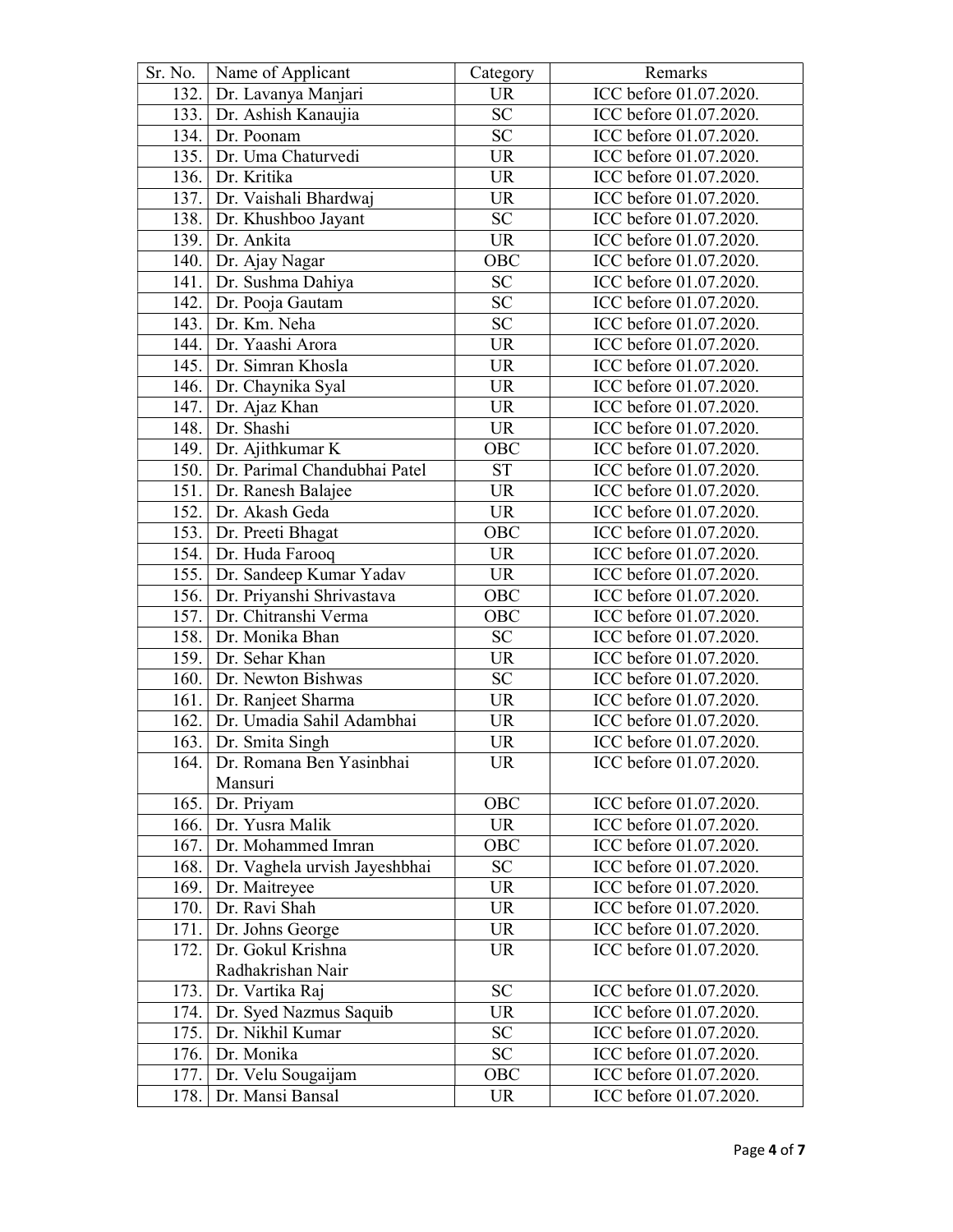| Sr. No. | Name of Applicant                  | Category        | Remarks                |
|---------|------------------------------------|-----------------|------------------------|
|         | 132. Dr. Lavanya Manjari           | <b>UR</b>       | ICC before 01.07.2020. |
|         | 133. Dr. Ashish Kanaujia           | $\overline{SC}$ | ICC before 01.07.2020. |
|         | 134. Dr. Poonam                    | SC              | ICC before 01.07.2020. |
| 135.    | Dr. Uma Chaturvedi                 | <b>UR</b>       | ICC before 01.07.2020. |
|         | 136. Dr. Kritika                   | <b>UR</b>       | ICC before 01.07.2020. |
|         | 137. Dr. Vaishali Bhardwaj         | <b>UR</b>       | ICC before 01.07.2020. |
|         | 138. Dr. Khushboo Jayant           | ${\rm SC}$      | ICC before 01.07.2020. |
| 139.    | Dr. Ankita                         | <b>UR</b>       | ICC before 01.07.2020. |
|         | 140. Dr. Ajay Nagar                | OBC             | ICC before 01.07.2020. |
| 141.    | Dr. Sushma Dahiya                  | SC              | ICC before 01.07.2020. |
|         | 142. Dr. Pooja Gautam              | <b>SC</b>       | ICC before 01.07.2020. |
| 143.    | Dr. Km. Neha                       | <b>SC</b>       | ICC before 01.07.2020. |
| 144.    | Dr. Yaashi Arora                   | <b>UR</b>       | ICC before 01.07.2020. |
|         | 145. Dr. Simran Khosla             | <b>UR</b>       | ICC before 01.07.2020. |
|         | 146.   Dr. Chaynika Syal           | <b>UR</b>       | ICC before 01.07.2020. |
| 147.    | Dr. Ajaz Khan                      | <b>UR</b>       | ICC before 01.07.2020. |
|         | 148. Dr. Shashi                    | <b>UR</b>       | ICC before 01.07.2020. |
|         | 149. Dr. Ajithkumar K              | OBC             | ICC before 01.07.2020. |
|         | 150. Dr. Parimal Chandubhai Patel  | <b>ST</b>       | ICC before 01.07.2020. |
| 151.    | Dr. Ranesh Balajee                 | <b>UR</b>       | ICC before 01.07.2020. |
|         | 152. Dr. Akash Geda                | <b>UR</b>       | ICC before 01.07.2020. |
|         | 153. Dr. Preeti Bhagat             | OBC             | ICC before 01.07.2020. |
|         | 154. Dr. Huda Farooq               | <b>UR</b>       | ICC before 01.07.2020. |
|         | 155. Dr. Sandeep Kumar Yadav       | <b>UR</b>       | ICC before 01.07.2020. |
| 156.    | Dr. Priyanshi Shrivastava          | OBC             | ICC before 01.07.2020. |
|         | 157. Dr. Chitranshi Verma          | OBC             | ICC before 01.07.2020. |
|         | 158. Dr. Monika Bhan               | SC              | ICC before 01.07.2020. |
| 159.    | Dr. Sehar Khan                     | <b>UR</b>       | ICC before 01.07.2020. |
| 160.    | Dr. Newton Bishwas                 | <b>SC</b>       | ICC before 01.07.2020. |
| 161.    | Dr. Ranjeet Sharma                 | <b>UR</b>       | ICC before 01.07.2020. |
| 162.    | Dr. Umadia Sahil Adambhai          | <b>UR</b>       | ICC before 01.07.2020. |
| 163.    | Dr. Smita Singh                    | <b>UR</b>       | ICC before 01.07.2020. |
| 164.    | Dr. Romana Ben Yasinbhai           | UR              | ICC before 01.07.2020. |
|         | Mansuri                            |                 |                        |
| 165.    | Dr. Priyam                         | OBC             | ICC before 01.07.2020. |
|         | 166. Dr. Yusra Malik               | <b>UR</b>       | ICC before 01.07.2020. |
| 167.    | Dr. Mohammed Imran                 | OBC             | ICC before 01.07.2020. |
|         | 168. Dr. Vaghela urvish Jayeshbhai | SC              | ICC before 01.07.2020. |
|         | 169. Dr. Maitreyee                 | <b>UR</b>       | ICC before 01.07.2020. |
|         | 170. Dr. Ravi Shah                 | UR              | ICC before 01.07.2020. |
| 171.    | Dr. Johns George                   | <b>UR</b>       | ICC before 01.07.2020. |
| 172.    | Dr. Gokul Krishna                  | UR              | ICC before 01.07.2020. |
|         | Radhakrishan Nair                  |                 |                        |
| 173.    | Dr. Vartika Raj                    | <b>SC</b>       | ICC before 01.07.2020. |
| 174.    | Dr. Syed Nazmus Saquib             | <b>UR</b>       | ICC before 01.07.2020. |
| 175.    | Dr. Nikhil Kumar                   | SC              | ICC before 01.07.2020. |
|         | 176. Dr. Monika                    | SC              | ICC before 01.07.2020. |
| 177.    | Dr. Velu Sougaijam                 | OBC             | ICC before 01.07.2020. |
| 178.    | Dr. Mansi Bansal                   | UR              | ICC before 01.07.2020. |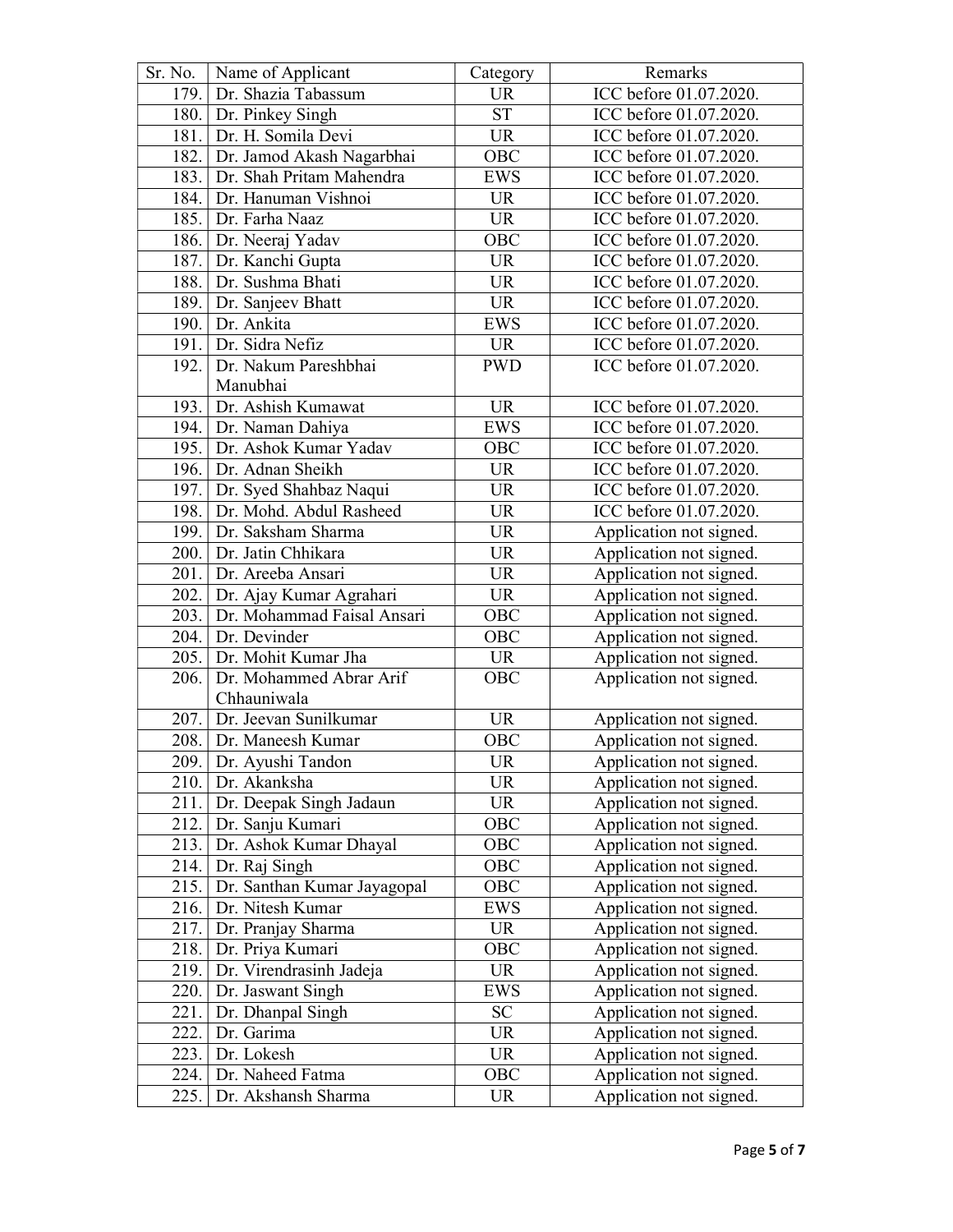| Sr. No. | Name of Applicant           | Category                          | Remarks                 |
|---------|-----------------------------|-----------------------------------|-------------------------|
| 179.    | Dr. Shazia Tabassum         | <b>UR</b>                         | ICC before 01.07.2020.  |
| 180.    | Dr. Pinkey Singh            | $\overline{\text{ST}}$            | ICC before 01.07.2020.  |
| 181.    | Dr. H. Somila Devi          | <b>UR</b>                         | ICC before 01.07.2020.  |
| 182.    | Dr. Jamod Akash Nagarbhai   | OBC                               | ICC before 01.07.2020.  |
| 183.    | Dr. Shah Pritam Mahendra    | <b>EWS</b>                        | ICC before 01.07.2020.  |
| 184.    | Dr. Hanuman Vishnoi         | <b>UR</b>                         | ICC before 01.07.2020.  |
| 185.    | Dr. Farha Naaz              | <b>UR</b>                         | ICC before 01.07.2020.  |
| 186.    | Dr. Neeraj Yadav            | OBC                               | ICC before 01.07.2020.  |
|         | 187. Dr. Kanchi Gupta       | <b>UR</b>                         | ICC before 01.07.2020.  |
| 188.    | Dr. Sushma Bhati            | <b>UR</b>                         | ICC before 01.07.2020.  |
| 189.    | Dr. Sanjeev Bhatt           | <b>UR</b>                         | ICC before 01.07.2020.  |
| 190.    | Dr. Ankita                  | <b>EWS</b>                        | ICC before 01.07.2020.  |
| 191.    | Dr. Sidra Nefiz             | <b>UR</b>                         | ICC before 01.07.2020.  |
| 192.    | Dr. Nakum Pareshbhai        | <b>PWD</b>                        | ICC before 01.07.2020.  |
|         | Manubhai                    |                                   |                         |
| 193.    | Dr. Ashish Kumawat          | <b>UR</b>                         | ICC before 01.07.2020.  |
|         | 194. Dr. Naman Dahiya       | <b>EWS</b>                        | ICC before 01.07.2020.  |
|         | 195. Dr. Ashok Kumar Yadav  | OBC                               | ICC before 01.07.2020.  |
| 196.    | Dr. Adnan Sheikh            | <b>UR</b>                         | ICC before 01.07.2020.  |
|         | 197. Dr. Syed Shahbaz Naqui | <b>UR</b>                         | ICC before 01.07.2020.  |
| 198.    | Dr. Mohd. Abdul Rasheed     | <b>UR</b>                         | ICC before 01.07.2020.  |
| 199.    | Dr. Saksham Sharma          | <b>UR</b>                         | Application not signed. |
| 200.    | Dr. Jatin Chhikara          | <b>UR</b>                         | Application not signed. |
| 201.    | Dr. Areeba Ansari           | <b>UR</b>                         | Application not signed. |
| 202.    | Dr. Ajay Kumar Agrahari     | <b>UR</b>                         | Application not signed. |
| 203.    | Dr. Mohammad Faisal Ansari  | OBC                               | Application not signed. |
| 204.    | Dr. Devinder                | OBC                               | Application not signed. |
| 205.    | Dr. Mohit Kumar Jha         | <b>UR</b>                         | Application not signed. |
| 206.    | Dr. Mohammed Abrar Arif     | OBC                               | Application not signed. |
|         | Chhauniwala                 |                                   |                         |
| 207.    | Dr. Jeevan Sunilkumar       | <b>UR</b>                         | Application not signed. |
|         | 208. Dr. Maneesh Kumar      | OBC                               | Application not signed. |
|         | 209. Dr. Ayushi Tandon      | $\ensuremath{\mathsf{UR}}\xspace$ | Application not signed. |
| 210.    | Dr. Akanksha                | UR                                | Application not signed. |
| 211.    | Dr. Deepak Singh Jadaun     | <b>UR</b>                         | Application not signed. |
| 212.    | Dr. Sanju Kumari            | OBC                               | Application not signed. |
| 213.    | Dr. Ashok Kumar Dhayal      | OBC                               | Application not signed. |
| 214.    | Dr. Raj Singh               | OBC                               | Application not signed. |
| 215.    | Dr. Santhan Kumar Jayagopal | OBC                               | Application not signed. |
| 216.    | Dr. Nitesh Kumar            | <b>EWS</b>                        | Application not signed. |
| 217.    | Dr. Pranjay Sharma          | <b>UR</b>                         | Application not signed. |
| 218.    | Dr. Priya Kumari            | OBC                               | Application not signed. |
| 219.    | Dr. Virendrasinh Jadeja     | <b>UR</b>                         | Application not signed. |
| 220.    | Dr. Jaswant Singh           | <b>EWS</b>                        | Application not signed. |
| 221.    | Dr. Dhanpal Singh           | <b>SC</b>                         | Application not signed. |
| 222.    | Dr. Garima                  | <b>UR</b>                         | Application not signed. |
| 223.    | Dr. Lokesh                  | <b>UR</b>                         | Application not signed. |
| 224.    | Dr. Naheed Fatma            | OBC                               | Application not signed. |
| 225.    | Dr. Akshansh Sharma         | <b>UR</b>                         | Application not signed. |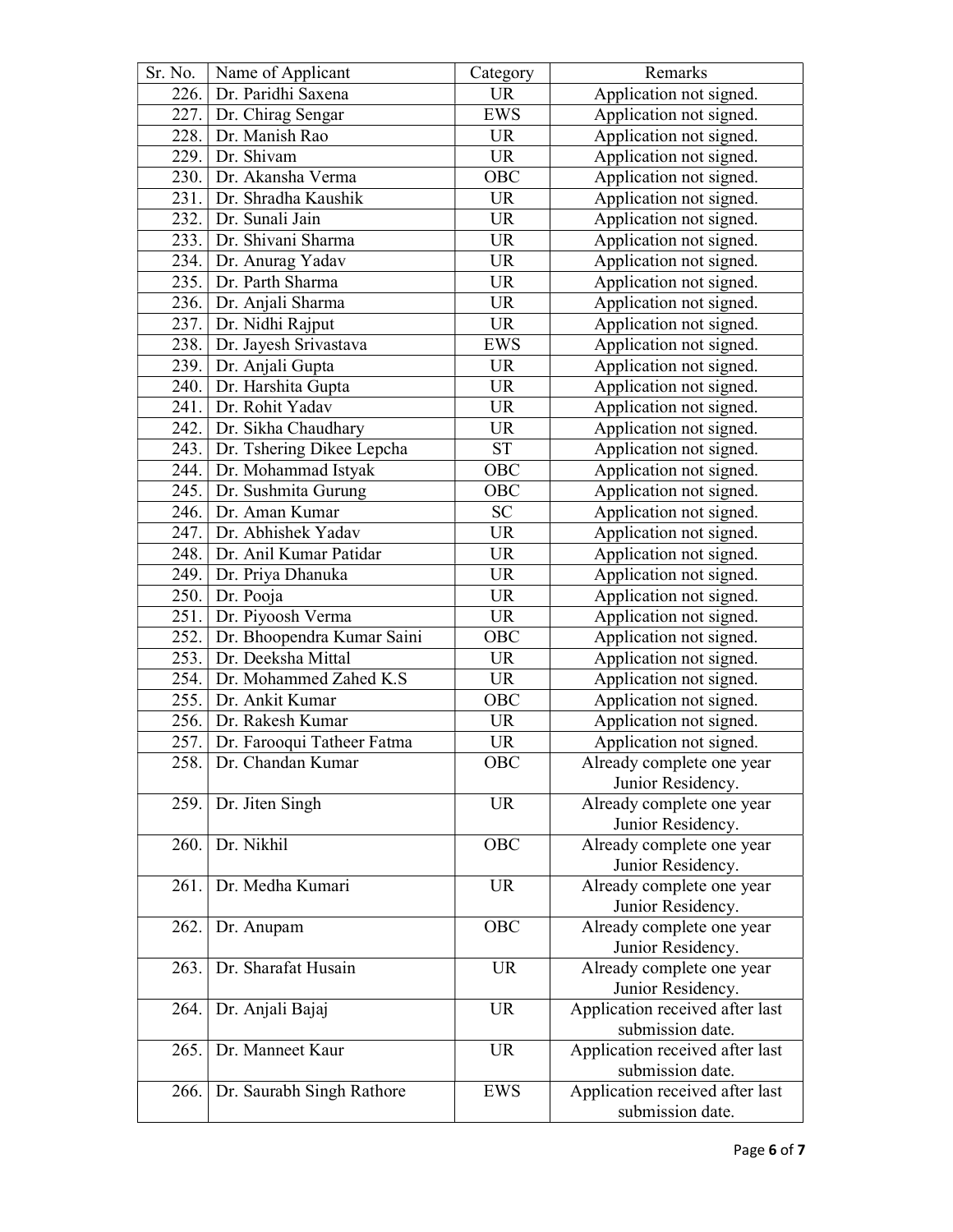| Sr. No. | Name of Applicant              | Category         | Remarks                         |
|---------|--------------------------------|------------------|---------------------------------|
| 226.    | Dr. Paridhi Saxena             | <b>UR</b>        | Application not signed.         |
| 227.    | Dr. Chirag Sengar              | <b>EWS</b>       | Application not signed.         |
| 228.    | Dr. Manish Rao                 | <b>UR</b>        | Application not signed.         |
| 229.    | Dr. Shivam                     | <b>UR</b>        | Application not signed.         |
| 230.    | Dr. Akansha Verma              | OBC              | Application not signed.         |
| 231.    | Dr. Shradha Kaushik            | <b>UR</b>        | Application not signed.         |
| 232.    | Dr. Sunali Jain                | <b>UR</b>        | Application not signed.         |
| 233.    | Dr. Shivani Sharma             | <b>UR</b>        | Application not signed.         |
| 234.    | Dr. Anurag Yadav               | <b>UR</b>        | Application not signed.         |
| 235.    | Dr. Parth Sharma               | <b>UR</b>        | Application not signed.         |
| 236.    | Dr. Anjali Sharma              | <b>UR</b>        | Application not signed.         |
| 237.    | Dr. Nidhi Rajput               | <b>UR</b>        | Application not signed.         |
| 238.    | Dr. Jayesh Srivastava          | <b>EWS</b>       | Application not signed.         |
| 239.    | Dr. Anjali Gupta               | <b>UR</b>        | Application not signed.         |
| 240.    | Dr. Harshita Gupta             | <b>UR</b>        | Application not signed.         |
| 241.    | Dr. Rohit Yadav                | <b>UR</b>        | Application not signed.         |
|         | 242. Dr. Sikha Chaudhary       | <b>UR</b>        | Application not signed.         |
|         | 243. Dr. Tshering Dikee Lepcha | <b>ST</b>        | Application not signed.         |
|         |                                | OBC              |                                 |
| 244.    | Dr. Mohammad Istyak            |                  | Application not signed.         |
| 245.    | Dr. Sushmita Gurung            | OBC              | Application not signed.         |
| 246.    | Dr. Aman Kumar                 | <b>SC</b>        | Application not signed.         |
| 247.    | Dr. Abhishek Yadav             | <b>UR</b>        | Application not signed.         |
| 248.    | Dr. Anil Kumar Patidar         | <b>UR</b>        | Application not signed.         |
| 249.    | Dr. Priya Dhanuka              | <b>UR</b>        | Application not signed.         |
| 250.    | Dr. Pooja                      | <b>UR</b>        | Application not signed.         |
| 251.    | Dr. Piyoosh Verma              | <b>UR</b>        | Application not signed.         |
| 252.    | Dr. Bhoopendra Kumar Saini     | OBC              | Application not signed.         |
| 253.    | Dr. Deeksha Mittal             | <b>UR</b>        | Application not signed.         |
| 254.    | Dr. Mohammed Zahed K.S         | <b>UR</b>        | Application not signed.         |
| 255.    | Dr. Ankit Kumar                | OBC              | Application not signed.         |
| 256.    | Dr. Rakesh Kumar               | <b>UR</b>        | Application not signed.         |
| 257.    | Dr. Farooqui Tatheer Fatma     | <b>UR</b>        | Application not signed.         |
| 258.    | Dr. Chandan Kumar              | $\overline{OBC}$ | Already complete one year       |
|         |                                |                  | Junior Residency.               |
| 259.    | Dr. Jiten Singh                | <b>UR</b>        | Already complete one year       |
|         |                                |                  | Junior Residency.               |
| 260.    | Dr. Nikhil                     | OBC              | Already complete one year       |
|         |                                |                  | Junior Residency.               |
| 261.    | Dr. Medha Kumari               | <b>UR</b>        | Already complete one year       |
|         |                                |                  | Junior Residency.               |
| 262.    | Dr. Anupam                     | OBC              | Already complete one year       |
|         |                                |                  | Junior Residency.               |
| 263.    | Dr. Sharafat Husain            | <b>UR</b>        | Already complete one year       |
|         |                                |                  | Junior Residency.               |
| 264.    | Dr. Anjali Bajaj               | <b>UR</b>        | Application received after last |
|         |                                |                  | submission date.                |
| 265.    | Dr. Manneet Kaur               | <b>UR</b>        | Application received after last |
|         |                                |                  | submission date.                |
| 266.    | Dr. Saurabh Singh Rathore      | EWS              | Application received after last |
|         |                                |                  | submission date.                |